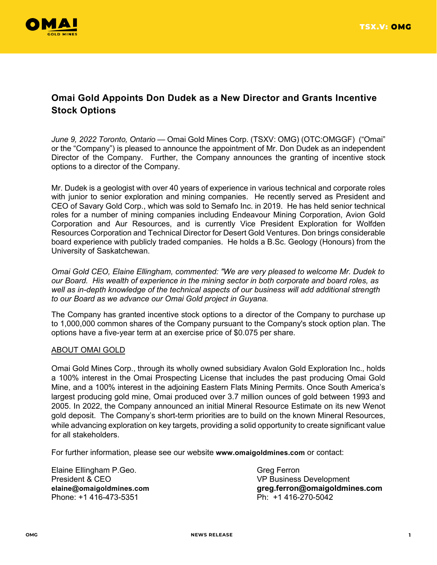

## **Omai Gold Appoints Don Dudek as a New Director and Grants Incentive Stock Options**

*June 9, 2022 Toronto, Ontario* — Omai Gold Mines Corp. (TSXV: OMG) (OTC:OMGGF) ("Omai" or the "Company") is pleased to announce the appointment of Mr. Don Dudek as an independent Director of the Company. Further, the Company announces the granting of incentive stock options to a director of the Company.

Mr. Dudek is a geologist with over 40 years of experience in various technical and corporate roles with junior to senior exploration and mining companies. He recently served as President and CEO of Savary Gold Corp., which was sold to Semafo Inc. in 2019. He has held senior technical roles for a number of mining companies including Endeavour Mining Corporation, Avion Gold Corporation and Aur Resources, and is currently Vice President Exploration for Wolfden Resources Corporation and Technical Director for Desert Gold Ventures. Don brings considerable board experience with publicly traded companies. He holds a B.Sc. Geology (Honours) from the University of Saskatchewan.

*Omai Gold CEO, Elaine Ellingham, commented: "We are very pleased to welcome Mr. Dudek to our Board. His wealth of experience in the mining sector in both corporate and board roles, as well as in-depth knowledge of the technical aspects of our business will add additional strength to our Board as we advance our Omai Gold project in Guyana.* 

The Company has granted incentive stock options to a director of the Company to purchase up to 1,000,000 common shares of the Company pursuant to the Company's stock option plan. The options have a five-year term at an exercise price of \$0.075 per share.

## ABOUT OMAI GOLD

Omai Gold Mines Corp., through its wholly owned subsidiary Avalon Gold Exploration Inc., holds a 100% interest in the Omai Prospecting License that includes the past producing Omai Gold Mine, and a 100% interest in the adjoining Eastern Flats Mining Permits. Once South America's largest producing gold mine, Omai produced over 3.7 million ounces of gold between 1993 and 2005. In 2022, the Company announced an initial Mineral Resource Estimate on its new Wenot gold deposit. The Company's short-term priorities are to build on the known Mineral Resources, while advancing exploration on key targets, providing a solid opportunity to create significant value for all stakeholders.

For further information, please see our website **[www.omaigoldmines.com](http://www.omaigoldmines.com/)** or contact:

Elaine Ellingham P.Geo. Greg Ferron President & CEO VP Business Development Phone: +1 416-473-5351 Ph: +1 416-270-5042

**[elaine@omaigoldmines.com](mailto:elaine@omaigoldmines.com) [greg.ferron@omaig](mailto:greg.ferron@omai)oldmines.com**